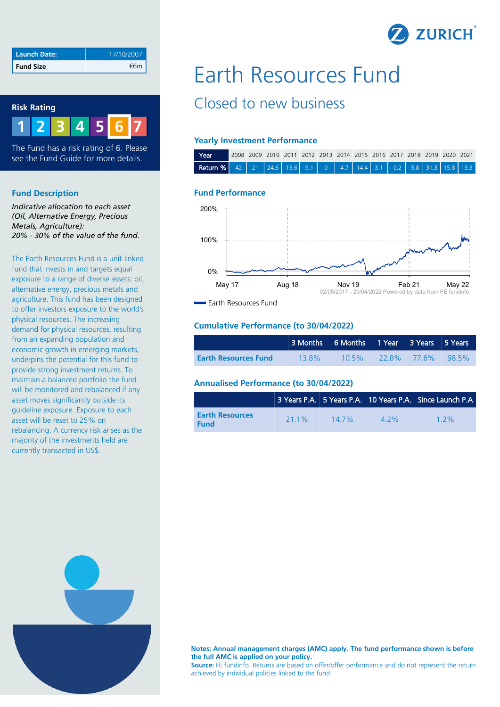

| l Launch Date:   | 17/10/2007 |
|------------------|------------|
| <b>Fund Size</b> | €6m        |

# **Risk Rating**



The Fund has a risk rating of 6. Please see the Fund Guide for more details.

# **Fund Description**

*Indicative allocation to each asset (Oil, Alternative Energy, Precious Metals, Agriculture): 20% - 30% of the value of the fund.*

The Earth Resources Fund is a unit-linked fund that invests in and targets equal exposure to a range of diverse assets: oil, alternative energy, precious metals and agriculture. This fund has been designed to offer investors exposure to the world's physical resources. The increasing demand for physical resources, resulting from an expanding population and economic growth in emerging markets, underpins the potential for this fund to provide strong investment returns. To maintain a balanced portfolio the fund will be monitored and rebalanced if any asset moves significantly outside its guideline exposure. Exposure to each asset will be reset to 25% on rebalancing. A currency risk arises as the majority of the investments held are currently transacted in US\$.

# Earth Resources Fund

# Closed to new business

#### **Yearly Investment Performance**

| Year                                                                                                                                       |  | 2008 2009 2010 2011 2012 2013 2014 2015 2016 2017 2018 2019 2020 2021 |  |  |  |  |  |
|--------------------------------------------------------------------------------------------------------------------------------------------|--|-----------------------------------------------------------------------|--|--|--|--|--|
| <b>Return %</b> $\begin{bmatrix} -42 & 21 & 24.6 & -15.6 & -9.1 & 0 & -4.7 & -14.4 & 3.1 & -0.2 & -5.8 & 31.3 & 15.8 & 19.3 \end{bmatrix}$ |  |                                                                       |  |  |  |  |  |

#### **Fund Performance**



**Earth Resources Fund** 

# **Cumulative Performance (to 30/04/2022)**

|                             | 3 Months 6 Months 1 Year 3 Years 5 Years |          |                   |  |
|-----------------------------|------------------------------------------|----------|-------------------|--|
| <b>Earth Resources Fund</b> | 13.8%                                    | $10.5\%$ | 22.8% 77.6% 98.5% |  |

# **Annualised Performance (to 30/04/2022)**

|                                       |         |      |         | 3 Years P.A. 5 Years P.A. 10 Years P.A. Since Launch P.A. |
|---------------------------------------|---------|------|---------|-----------------------------------------------------------|
| <b>Earth Resources</b><br><b>Fund</b> | $211\%$ | 147% | $4.2\%$ | $1.2\%$                                                   |



**Notes: Annual management charges (AMC) apply. The fund performance shown is before the full AMC is applied on your policy.**

**Source:** FE fundinfo. Returns are based on offer/offer performance and do not represent the return achieved by individual policies linked to the fund.